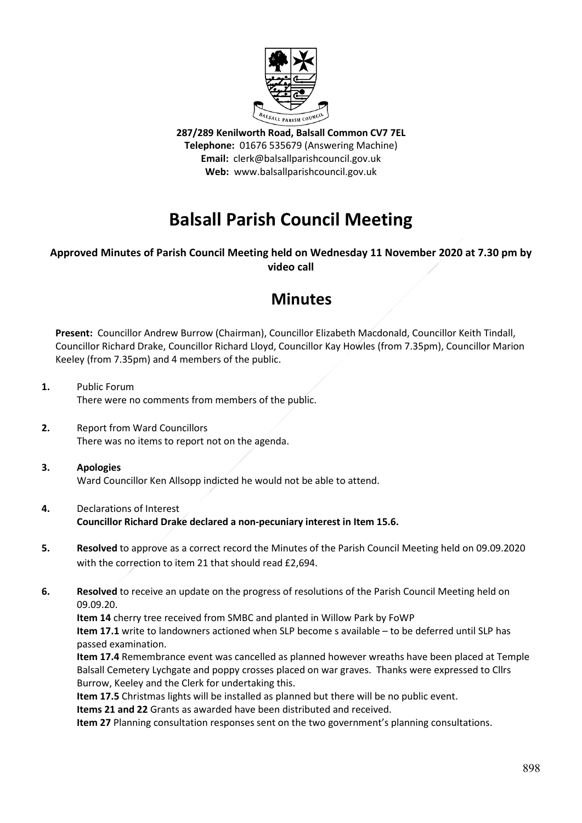

**287/289 Kenilworth Road, Balsall Common CV7 7EL Telephone:** 01676 535679 (Answering Machine) **Email:** clerk@balsallparishcouncil.gov.uk **Web:** www.balsallparishcouncil.gov.uk

# **Balsall Parish Council Meeting**

# **Approved Minutes of Parish Council Meeting held on Wednesday 11 November 2020 at 7.30 pm by video call**

# **Minutes**

**Present:** Councillor Andrew Burrow (Chairman), Councillor Elizabeth Macdonald, Councillor Keith Tindall, Councillor Richard Drake, Councillor Richard Lloyd, Councillor Kay Howles (from 7.35pm), Councillor Marion Keeley (from 7.35pm) and 4 members of the public.

**1.** Public Forum There were no comments from members of the public.

**2.** Report from Ward Councillors There was no items to report not on the agenda.

## **3. Apologies** Ward Councillor Ken Allsopp indicted he would not be able to attend.

- **4.** Declarations of Interest **Councillor Richard Drake declared a non-pecuniary interest in Item 15.6.**
- **5. Resolved** to approve as a correct record the Minutes of the Parish Council Meeting held on 09.09.2020 with the correction to item 21 that should read £2,694.
- **6. Resolved** to receive an update on the progress of resolutions of the Parish Council Meeting held on 09.09.20.

**Item 14** cherry tree received from SMBC and planted in Willow Park by FoWP **Item 17.1** write to landowners actioned when SLP become s available – to be deferred until SLP has passed examination.

**Item 17.4** Remembrance event was cancelled as planned however wreaths have been placed at Temple Balsall Cemetery Lychgate and poppy crosses placed on war graves. Thanks were expressed to Cllrs Burrow, Keeley and the Clerk for undertaking this.

**Item 17.5** Christmas lights will be installed as planned but there will be no public event.

**Items 21 and 22** Grants as awarded have been distributed and received.

**Item 27** Planning consultation responses sent on the two government's planning consultations.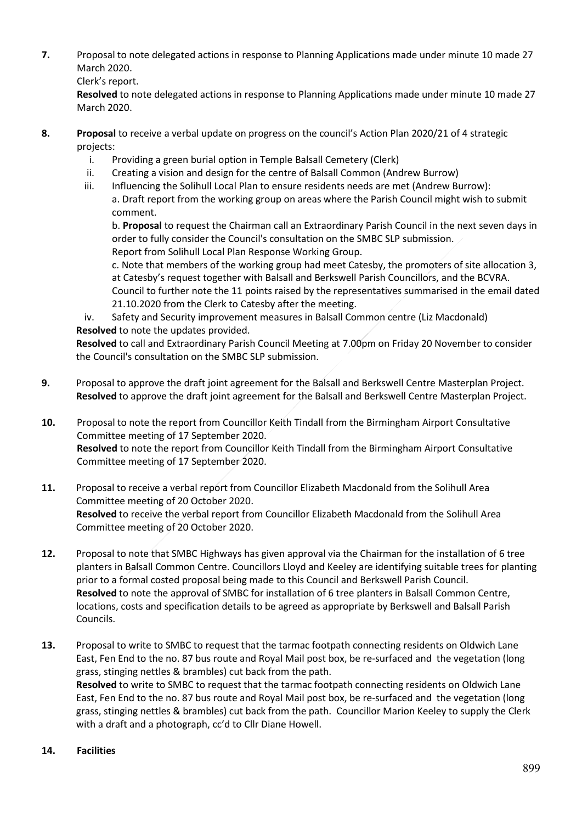**7.** Proposal to note delegated actions in response to Planning Applications made under minute 10 made 27 March 2020.

Clerk's report.

**Resolved** to note delegated actions in response to Planning Applications made under minute 10 made 27 March 2020.

- **8. Proposal** to receive a verbal update on progress on the council's Action Plan 2020/21 of 4 strategic projects:
	- i. Providing a green burial option in Temple Balsall Cemetery (Clerk)
	- ii. Creating a vision and design for the centre of Balsall Common (Andrew Burrow)
	- iii. Influencing the Solihull Local Plan to ensure residents needs are met (Andrew Burrow): a. Draft report from the working group on areas where the Parish Council might wish to submit comment.

b. **Proposal** to request the Chairman call an Extraordinary Parish Council in the next seven days in order to fully consider the Council's consultation on the SMBC SLP submission. Report from Solihull Local Plan Response Working Group.

c. Note that members of the working group had meet Catesby, the promoters of site allocation 3, at Catesby's request together with Balsall and Berkswell Parish Councillors, and the BCVRA. Council to further note the 11 points raised by the representatives summarised in the email dated 21.10.2020 from the Clerk to Catesby after the meeting.

iv. Safety and Security improvement measures in Balsall Common centre (Liz Macdonald) **Resolved** to note the updates provided.

**Resolved** to call and Extraordinary Parish Council Meeting at 7.00pm on Friday 20 November to consider the Council's consultation on the SMBC SLP submission.

- **9.** Proposal to approve the draft joint agreement for the Balsall and Berkswell Centre Masterplan Project. **Resolved** to approve the draft joint agreement for the Balsall and Berkswell Centre Masterplan Project.
- **10.** Proposal to note the report from Councillor Keith Tindall from the Birmingham Airport Consultative Committee meeting of 17 September 2020. **Resolved** to note the report from Councillor Keith Tindall from the Birmingham Airport Consultative Committee meeting of 17 September 2020.
- **11.** Proposal to receive a verbal report from Councillor Elizabeth Macdonald from the Solihull Area Committee meeting of 20 October 2020. **Resolved** to receive the verbal report from Councillor Elizabeth Macdonald from the Solihull Area Committee meeting of 20 October 2020.
- **12.** Proposal to note that SMBC Highways has given approval via the Chairman for the installation of 6 tree planters in Balsall Common Centre. Councillors Lloyd and Keeley are identifying suitable trees for planting prior to a formal costed proposal being made to this Council and Berkswell Parish Council. **Resolved** to note the approval of SMBC for installation of 6 tree planters in Balsall Common Centre, locations, costs and specification details to be agreed as appropriate by Berkswell and Balsall Parish Councils.
- **13.** Proposal to write to SMBC to request that the tarmac footpath connecting residents on Oldwich Lane East, Fen End to the no. 87 bus route and Royal Mail post box, be re-surfaced and the vegetation (long grass, stinging nettles & brambles) cut back from the path. **Resolved** to write to SMBC to request that the tarmac footpath connecting residents on Oldwich Lane East, Fen End to the no. 87 bus route and Royal Mail post box, be re-surfaced and the vegetation (long grass, stinging nettles & brambles) cut back from the path. Councillor Marion Keeley to supply the Clerk with a draft and a photograph, cc'd to Cllr Diane Howell.

## **14. Facilities**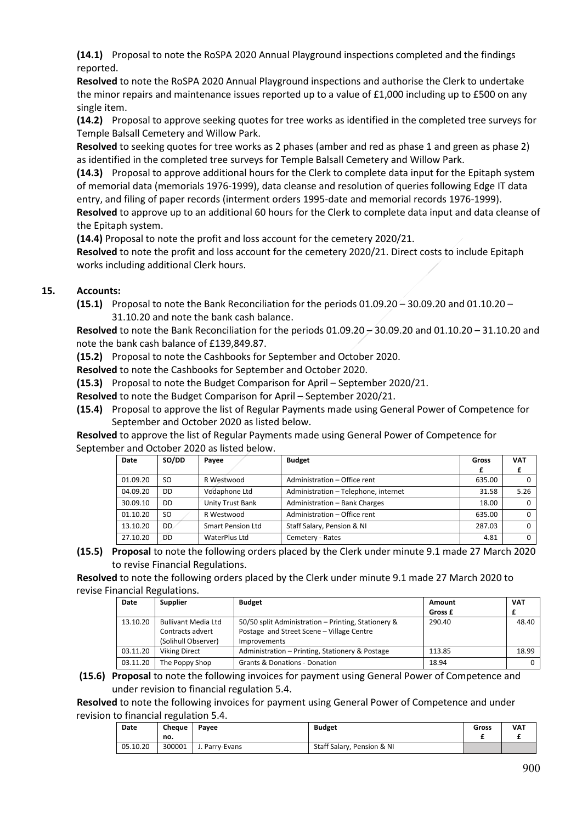**(14.1)** Proposal to note the RoSPA 2020 Annual Playground inspections completed and the findings reported.

**Resolved** to note the RoSPA 2020 Annual Playground inspections and authorise the Clerk to undertake the minor repairs and maintenance issues reported up to a value of £1,000 including up to £500 on any single item.

**(14.2)** Proposal to approve seeking quotes for tree works as identified in the completed tree surveys for Temple Balsall Cemetery and Willow Park.

**Resolved** to seeking quotes for tree works as 2 phases (amber and red as phase 1 and green as phase 2) as identified in the completed tree surveys for Temple Balsall Cemetery and Willow Park.

**(14.3)** Proposal to approve additional hours for the Clerk to complete data input for the Epitaph system of memorial data (memorials 1976-1999), data cleanse and resolution of queries following Edge IT data entry, and filing of paper records (interment orders 1995-date and memorial records 1976-1999). **Resolved** to approve up to an additional 60 hours for the Clerk to complete data input and data cleanse of the Epitaph system.

**(14.4)** Proposal to note the profit and loss account for the cemetery 2020/21.

**Resolved** to note the profit and loss account for the cemetery 2020/21. Direct costs to include Epitaph works including additional Clerk hours.

## **15. Accounts:**

**(15.1)** Proposal to note the Bank Reconciliation for the periods 01.09.20 – 30.09.20 and 01.10.20 – 31.10.20 and note the bank cash balance.

**Resolved** to note the Bank Reconciliation for the periods 01.09.20 – 30.09.20 and 01.10.20 – 31.10.20 and note the bank cash balance of £139,849.87.

**(15.2)** Proposal to note the Cashbooks for September and October 2020.

**Resolved** to note the Cashbooks for September and October 2020.

**(15.3)** Proposal to note the Budget Comparison for April – September 2020/21.

**Resolved** to note the Budget Comparison for April – September 2020/21.

**(15.4)** Proposal to approve the list of Regular Payments made using General Power of Competence for September and October 2020 as listed below.

**Resolved** to approve the list of Regular Payments made using General Power of Competence for September and October 2020 as listed below.

| Date     | SO/DD | Payee             | <b>Budget</b>                        | Gross  | <b>VAT</b> |
|----------|-------|-------------------|--------------------------------------|--------|------------|
|          |       |                   |                                      |        |            |
| 01.09.20 | SO.   | R Westwood        | Administration - Office rent         | 635.00 |            |
| 04.09.20 | DD.   | Vodaphone Ltd     | Administration - Telephone, internet | 31.58  | 5.26       |
| 30.09.10 | DD    | Unity Trust Bank  | Administration - Bank Charges        | 18.00  |            |
| 01.10.20 | SO.   | R Westwood        | Administration - Office rent         | 635.00 |            |
| 13.10.20 | DD    | Smart Pension Ltd | Staff Salary, Pension & NI           | 287.03 |            |
| 27.10.20 | DD    | WaterPlus Ltd     | Cemetery - Rates                     | 4.81   |            |

**(15.5) Proposal** to note the following orders placed by the Clerk under minute 9.1 made 27 March 2020 to revise Financial Regulations.

**Resolved** to note the following orders placed by the Clerk under minute 9.1 made 27 March 2020 to revise Financial Regulations.

| Date     | <b>Supplier</b>            | <b>Budget</b>                                       | Amount  | <b>VAT</b> |
|----------|----------------------------|-----------------------------------------------------|---------|------------|
|          |                            |                                                     | Gross £ |            |
| 13.10.20 | <b>Bullivant Media Ltd</b> | 50/50 split Administration - Printing, Stationery & | 290.40  | 48.40      |
|          | Contracts advert           | Postage and Street Scene - Village Centre           |         |            |
|          | (Solihull Observer)        | Improvements                                        |         |            |
| 03.11.20 | <b>Viking Direct</b>       | Administration – Printing, Stationery & Postage     | 113.85  | 18.99      |
| 03.11.20 | The Poppy Shop             | <b>Grants &amp; Donations - Donation</b>            | 18.94   |            |

#### **(15.6) Proposal** to note the following invoices for payment using General Power of Competence and under revision to financial regulation 5.4.

**Resolved** to note the following invoices for payment using General Power of Competence and under revision to financial regulation 5.4.

| Date     | Cheaue<br>no. | Pavee          | <b>Budget</b>              | Gross | VAT |
|----------|---------------|----------------|----------------------------|-------|-----|
| 05.10.20 | 300001        | J. Parry-Evans | Staff Salary, Pension & NI |       |     |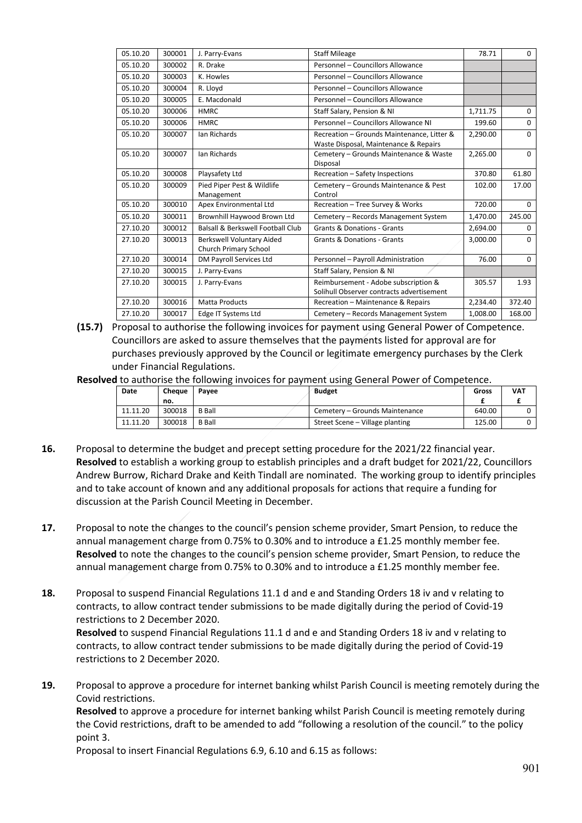| 05.10.20 | 300001 | J. Parry-Evans                                            | <b>Staff Mileage</b>                                                                | 78.71    | $\Omega$ |
|----------|--------|-----------------------------------------------------------|-------------------------------------------------------------------------------------|----------|----------|
| 05.10.20 | 300002 | R. Drake                                                  | Personnel - Councillors Allowance                                                   |          |          |
| 05.10.20 | 300003 | K. Howles                                                 | Personnel - Councillors Allowance                                                   |          |          |
| 05.10.20 | 300004 | R. Lloyd                                                  | Personnel - Councillors Allowance                                                   |          |          |
| 05.10.20 | 300005 | E. Macdonald                                              | Personnel - Councillors Allowance                                                   |          |          |
| 05.10.20 | 300006 | <b>HMRC</b>                                               | Staff Salary, Pension & NI                                                          | 1,711.75 | 0        |
| 05.10.20 | 300006 | <b>HMRC</b>                                               | Personnel - Councillors Allowance NI                                                | 199.60   | $\Omega$ |
| 05.10.20 | 300007 | Ian Richards                                              | Recreation - Grounds Maintenance, Litter &<br>Waste Disposal, Maintenance & Repairs | 2,290.00 | 0        |
| 05.10.20 | 300007 | Ian Richards                                              | Cemetery - Grounds Maintenance & Waste<br>Disposal                                  | 2.265.00 | $\Omega$ |
| 05.10.20 | 300008 | Playsafety Ltd                                            | Recreation - Safety Inspections                                                     | 370.80   | 61.80    |
| 05.10.20 | 300009 | Pied Piper Pest & Wildlife<br>Management                  | Cemetery - Grounds Maintenance & Pest<br>Control                                    | 102.00   | 17.00    |
| 05.10.20 | 300010 | Apex Environmental Ltd                                    | Recreation - Tree Survey & Works                                                    | 720.00   | $\Omega$ |
| 05.10.20 | 300011 | Brownhill Haywood Brown Ltd                               | Cemetery - Records Management System                                                | 1,470.00 | 245.00   |
| 27.10.20 | 300012 | Balsall & Berkswell Football Club                         | <b>Grants &amp; Donations - Grants</b>                                              | 2,694.00 | $\Omega$ |
| 27.10.20 | 300013 | <b>Berkswell Voluntary Aided</b><br>Church Primary School | <b>Grants &amp; Donations - Grants</b>                                              | 3.000.00 | $\Omega$ |
| 27.10.20 | 300014 | DM Payroll Services Ltd                                   | Personnel - Payroll Administration                                                  | 76.00    | $\Omega$ |
| 27.10.20 | 300015 | J. Parry-Evans                                            | Staff Salary, Pension & NI                                                          |          |          |
| 27.10.20 | 300015 | J. Parry-Evans                                            | Reimbursement - Adobe subscription &<br>Solihull Observer contracts advertisement   | 305.57   | 1.93     |
| 27.10.20 | 300016 | <b>Matta Products</b>                                     | Recreation - Maintenance & Repairs                                                  | 2,234.40 | 372.40   |
| 27.10.20 | 300017 | Edge IT Systems Ltd                                       | Cemetery - Records Management System                                                | 1,008.00 | 168.00   |

**(15.7)** Proposal to authorise the following invoices for payment using General Power of Competence. Councillors are asked to assure themselves that the payments listed for approval are for purchases previously approved by the Council or legitimate emergency purchases by the Clerk under Financial Regulations.

**Resolved** to authorise the following invoices for payment using General Power of Competence.

| Date     | Cheaue | Pavee         | Budget                          | Gross  | VAT |
|----------|--------|---------------|---------------------------------|--------|-----|
|          | no.    |               |                                 |        |     |
| 11.11.20 | 300018 | <b>B</b> Ball | Cemetery - Grounds Maintenance  | 640.00 |     |
| 11.11.20 | 300018 | <b>B</b> Ball | Street Scene – Village planting | 125.00 |     |

- **16.** Proposal to determine the budget and precept setting procedure for the 2021/22 financial year. **Resolved** to establish a working group to establish principles and a draft budget for 2021/22, Councillors Andrew Burrow, Richard Drake and Keith Tindall are nominated. The working group to identify principles and to take account of known and any additional proposals for actions that require a funding for discussion at the Parish Council Meeting in December.
- **17.** Proposal to note the changes to the council's pension scheme provider, Smart Pension, to reduce the annual management charge from 0.75% to 0.30% and to introduce a £1.25 monthly member fee. **Resolved** to note the changes to the council's pension scheme provider, Smart Pension, to reduce the annual management charge from 0.75% to 0.30% and to introduce a £1.25 monthly member fee.
- **18.** Proposal to suspend Financial Regulations 11.1 d and e and Standing Orders 18 iv and v relating to contracts, to allow contract tender submissions to be made digitally during the period of Covid-19 restrictions to 2 December 2020. **Resolved** to suspend Financial Regulations 11.1 d and e and Standing Orders 18 iv and v relating to contracts, to allow contract tender submissions to be made digitally during the period of Covid-19

restrictions to 2 December 2020. **19.** Proposal to approve a procedure for internet banking whilst Parish Council is meeting remotely during the Covid restrictions.

**Resolved** to approve a procedure for internet banking whilst Parish Council is meeting remotely during the Covid restrictions, draft to be amended to add "following a resolution of the council." to the policy point 3.

Proposal to insert Financial Regulations 6.9, 6.10 and 6.15 as follows: